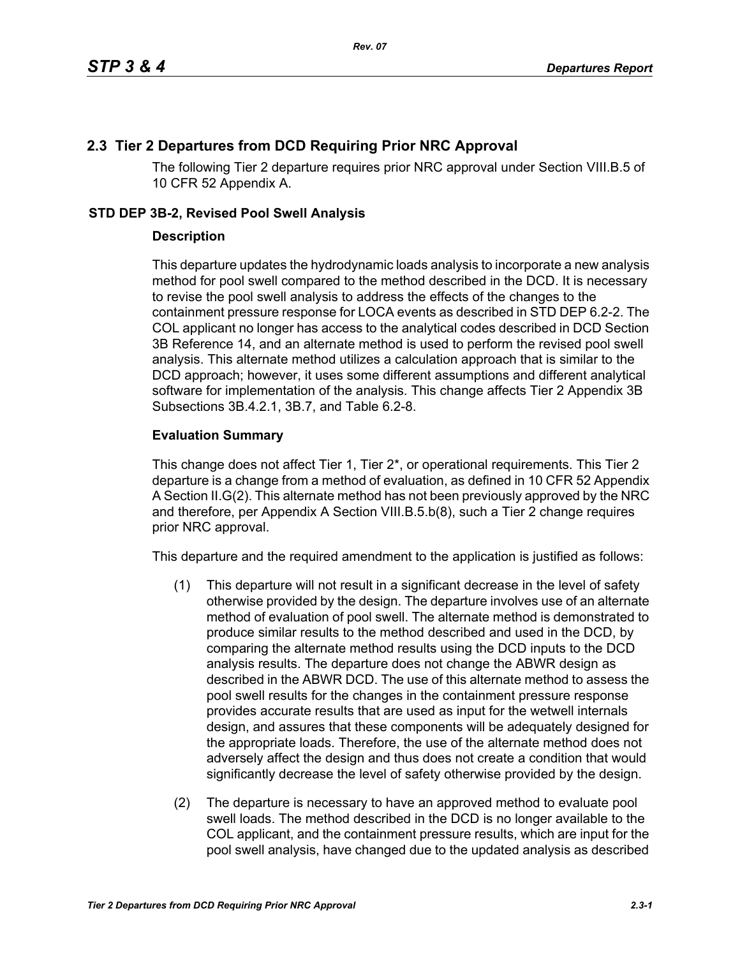## **2.3 Tier 2 Departures from DCD Requiring Prior NRC Approval**

The following Tier 2 departure requires prior NRC approval under Section VIII.B.5 of 10 CFR 52 Appendix A.

## **STD DEP 3B-2, Revised Pool Swell Analysis**

## **Description**

This departure updates the hydrodynamic loads analysis to incorporate a new analysis method for pool swell compared to the method described in the DCD. It is necessary to revise the pool swell analysis to address the effects of the changes to the containment pressure response for LOCA events as described in STD DEP 6.2-2. The COL applicant no longer has access to the analytical codes described in DCD Section 3B Reference 14, and an alternate method is used to perform the revised pool swell analysis. This alternate method utilizes a calculation approach that is similar to the DCD approach; however, it uses some different assumptions and different analytical software for implementation of the analysis. This change affects Tier 2 Appendix 3B Subsections 3B.4.2.1, 3B.7, and Table 6.2-8.

## **Evaluation Summary**

This change does not affect Tier 1, Tier 2\*, or operational requirements. This Tier 2 departure is a change from a method of evaluation, as defined in 10 CFR 52 Appendix A Section II.G(2). This alternate method has not been previously approved by the NRC and therefore, per Appendix A Section VIII.B.5.b(8), such a Tier 2 change requires prior NRC approval.

This departure and the required amendment to the application is justified as follows:

- (1) This departure will not result in a significant decrease in the level of safety otherwise provided by the design. The departure involves use of an alternate method of evaluation of pool swell. The alternate method is demonstrated to produce similar results to the method described and used in the DCD, by comparing the alternate method results using the DCD inputs to the DCD analysis results. The departure does not change the ABWR design as described in the ABWR DCD. The use of this alternate method to assess the pool swell results for the changes in the containment pressure response provides accurate results that are used as input for the wetwell internals design, and assures that these components will be adequately designed for the appropriate loads. Therefore, the use of the alternate method does not adversely affect the design and thus does not create a condition that would significantly decrease the level of safety otherwise provided by the design.
- (2) The departure is necessary to have an approved method to evaluate pool swell loads. The method described in the DCD is no longer available to the COL applicant, and the containment pressure results, which are input for the pool swell analysis, have changed due to the updated analysis as described